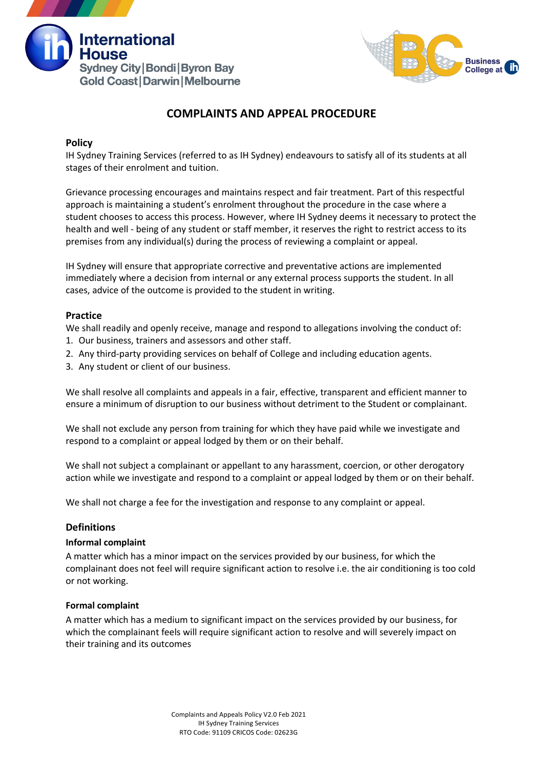



## **COMPLAINTS AND APPEAL PROCEDURE**

#### **Policy**

IH Sydney Training Services (referred to as IH Sydney) endeavours to satisfy all of its students at all stages of their enrolment and tuition.

Grievance processing encourages and maintains respect and fair treatment. Part of this respectful approach is maintaining a student's enrolment throughout the procedure in the case where a student chooses to access this process. However, where IH Sydney deems it necessary to protect the health and well - being of any student or staff member, it reserves the right to restrict access to its premises from any individual(s) during the process of reviewing a complaint or appeal.

IH Sydney will ensure that appropriate corrective and preventative actions are implemented immediately where a decision from internal or any external process supports the student. In all cases, advice of the outcome is provided to the student in writing.

#### **Practice**

We shall readily and openly receive, manage and respond to allegations involving the conduct of:

- 1. Our business, trainers and assessors and other staff.
- 2. Any third-party providing services on behalf of College and including education agents.
- 3. Any student or client of our business.

We shall resolve all complaints and appeals in a fair, effective, transparent and efficient manner to ensure a minimum of disruption to our business without detriment to the Student or complainant.

We shall not exclude any person from training for which they have paid while we investigate and respond to a complaint or appeal lodged by them or on their behalf.

We shall not subject a complainant or appellant to any harassment, coercion, or other derogatory action while we investigate and respond to a complaint or appeal lodged by them or on their behalf.

We shall not charge a fee for the investigation and response to any complaint or appeal.

#### **Definitions**

#### **Informal complaint**

A matter which has a minor impact on the services provided by our business, for which the complainant does not feel will require significant action to resolve i.e. the air conditioning is too cold or not working.

#### **Formal complaint**

A matter which has a medium to significant impact on the services provided by our business, for which the complainant feels will require significant action to resolve and will severely impact on their training and its outcomes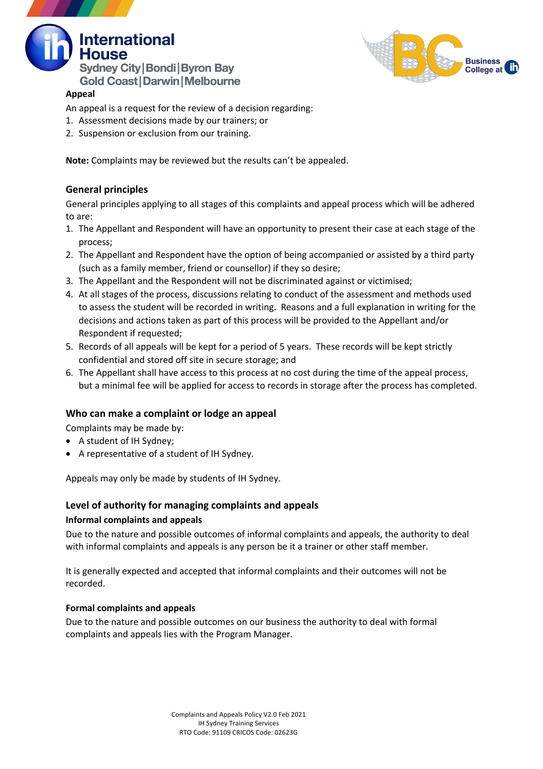



#### **Appeal**

- An appeal is a request for the review of a decision regarding:
- 1. Assessment decisions made by our trainers; or
- 2. Suspension or exclusion from our training.

**Note:** Complaints may be reviewed but the results can't be appealed.

#### **General principles**

General principles applying to all stages of this complaints and appeal process which will be adhered to are:

- 1. The Appellant and Respondent will have an opportunity to present their case at each stage of the process;
- 2. The Appellant and Respondent have the option of being accompanied or assisted by a third party (such as a family member, friend or counsellor) if they so desire;
- 3. The Appellant and the Respondent will not be discriminated against or victimised;
- 4. At all stages of the process, discussions relating to conduct of the assessment and methods used to assess the student will be recorded in writing. Reasons and a full explanation in writing for the decisions and actions taken as part of this process will be provided to the Appellant and/or Respondent if requested;
- 5. Records of all appeals will be kept for a period of 5 years. These records will be kept strictly confidential and stored off site in secure storage; and
- 6. The Appellant shall have access to this process at no cost during the time of the appeal process, but a minimal fee will be applied for access to records in storage after the process has completed.

#### **Who can make a complaint or lodge an appeal**

Complaints may be made by:

- A student of IH Sydney;
- A representative of a student of IH Sydney.

Appeals may only be made by students of IH Sydney.

## **Level of authority for managing complaints and appeals**

#### **Informal complaints and appeals**

Due to the nature and possible outcomes of informal complaints and appeals, the authority to deal with informal complaints and appeals is any person be it a trainer or other staff member.

It is generally expected and accepted that informal complaints and their outcomes will not be recorded.

#### **Formal complaints and appeals**

Due to the nature and possible outcomes on our business the authority to deal with formal complaints and appeals lies with the Program Manager.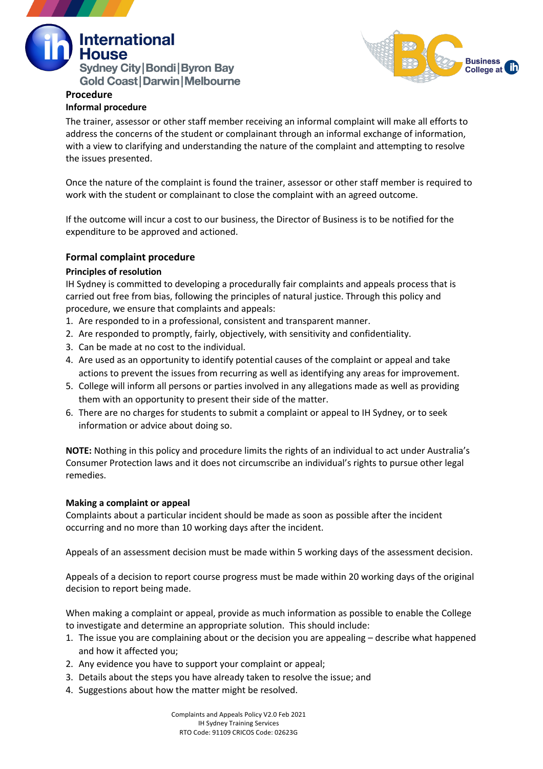



# **Procedure**

### **Informal procedure**

The trainer, assessor or other staff member receiving an informal complaint will make all efforts to address the concerns of the student or complainant through an informal exchange of information, with a view to clarifying and understanding the nature of the complaint and attempting to resolve the issues presented.

Once the nature of the complaint is found the trainer, assessor or other staff member is required to work with the student or complainant to close the complaint with an agreed outcome.

If the outcome will incur a cost to our business, the Director of Business is to be notified for the expenditure to be approved and actioned.

#### **Formal complaint procedure**

#### **Principles of resolution**

IH Sydney is committed to developing a procedurally fair complaints and appeals process that is carried out free from bias, following the principles of natural justice. Through this policy and procedure, we ensure that complaints and appeals:

- 1. Are responded to in a professional, consistent and transparent manner.
- 2. Are responded to promptly, fairly, objectively, with sensitivity and confidentiality.
- 3. Can be made at no cost to the individual.
- 4. Are used as an opportunity to identify potential causes of the complaint or appeal and take actions to prevent the issues from recurring as well as identifying any areas for improvement.
- 5. College will inform all persons or parties involved in any allegations made as well as providing them with an opportunity to present their side of the matter.
- 6. There are no charges for students to submit a complaint or appeal to IH Sydney, or to seek information or advice about doing so.

**NOTE:** Nothing in this policy and procedure limits the rights of an individual to act under Australia's Consumer Protection laws and it does not circumscribe an individual's rights to pursue other legal remedies.

#### **Making a complaint or appeal**

Complaints about a particular incident should be made as soon as possible after the incident occurring and no more than 10 working days after the incident.

Appeals of an assessment decision must be made within 5 working days of the assessment decision.

Appeals of a decision to report course progress must be made within 20 working days of the original decision to report being made.

When making a complaint or appeal, provide as much information as possible to enable the College to investigate and determine an appropriate solution. This should include:

- 1. The issue you are complaining about or the decision you are appealing describe what happened and how it affected you;
- 2. Any evidence you have to support your complaint or appeal;
- 3. Details about the steps you have already taken to resolve the issue; and
- 4. Suggestions about how the matter might be resolved.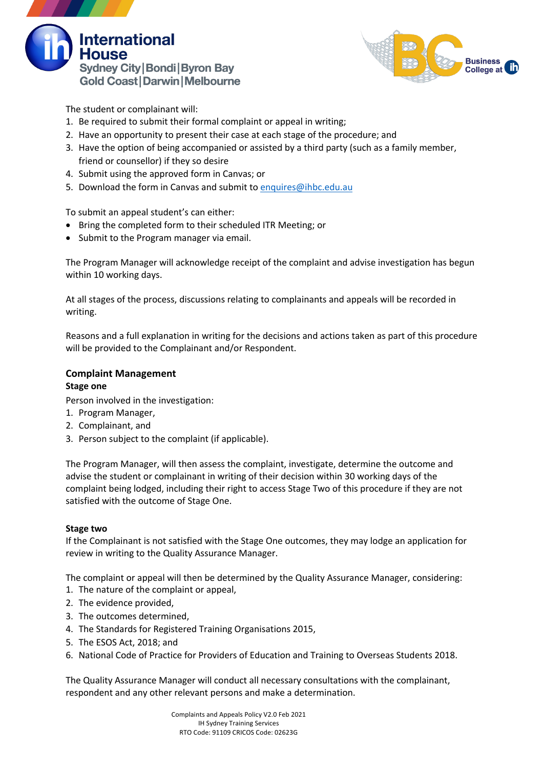



The student or complainant will:

- 1. Be required to submit their formal complaint or appeal in writing;
- 2. Have an opportunity to present their case at each stage of the procedure; and
- 3. Have the option of being accompanied or assisted by a third party (such as a family member, friend or counsellor) if they so desire
- 4. Submit using the approved form in Canvas; or
- 5. Download the form in Canvas and submit to enquires@ihbc.edu.au

To submit an appeal student's can either:

- Bring the completed form to their scheduled ITR Meeting; or
- Submit to the Program manager via email.

The Program Manager will acknowledge receipt of the complaint and advise investigation has begun within 10 working days.

At all stages of the process, discussions relating to complainants and appeals will be recorded in writing.

Reasons and a full explanation in writing for the decisions and actions taken as part of this procedure will be provided to the Complainant and/or Respondent.

# **Complaint Management**

#### **Stage one**

Person involved in the investigation:

- 1. Program Manager,
- 2. Complainant, and
- 3. Person subject to the complaint (if applicable).

The Program Manager, will then assess the complaint, investigate, determine the outcome and advise the student or complainant in writing of their decision within 30 working days of the complaint being lodged, including their right to access Stage Two of this procedure if they are not satisfied with the outcome of Stage One.

#### **Stage two**

If the Complainant is not satisfied with the Stage One outcomes, they may lodge an application for review in writing to the Quality Assurance Manager.

The complaint or appeal will then be determined by the Quality Assurance Manager, considering:

- 1. The nature of the complaint or appeal,
- 2. The evidence provided,
- 3. The outcomes determined,
- 4. The Standards for Registered Training Organisations 2015,
- 5. The ESOS Act, 2018; and
- 6. National Code of Practice for Providers of Education and Training to Overseas Students 2018.

The Quality Assurance Manager will conduct all necessary consultations with the complainant, respondent and any other relevant persons and make a determination.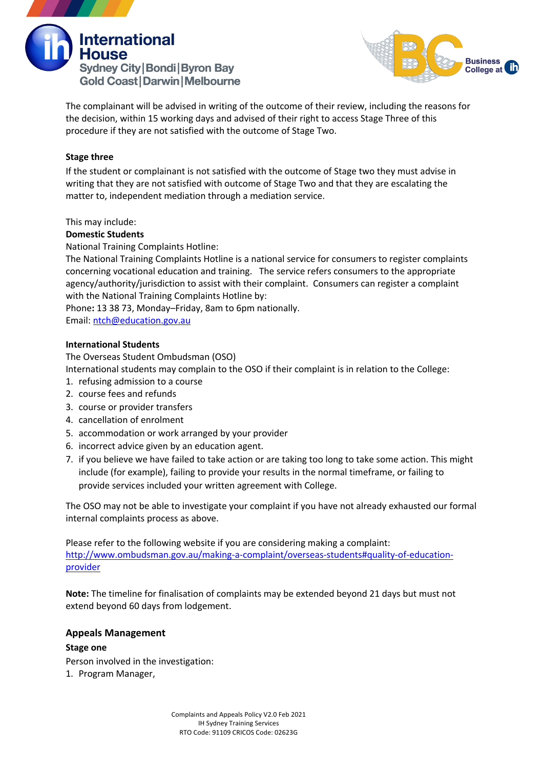



The complainant will be advised in writing of the outcome of their review, including the reasons for the decision, within 15 working days and advised of their right to access Stage Three of this procedure if they are not satisfied with the outcome of Stage Two.

#### **Stage three**

If the student or complainant is not satisfied with the outcome of Stage two they must advise in writing that they are not satisfied with outcome of Stage Two and that they are escalating the matter to, independent mediation through a mediation service.

This may include:

#### **Domestic Students**

National Training Complaints Hotline:

The National Training Complaints Hotline is a national service for consumers to register complaints concerning vocational education and training. The service refers consumers to the appropriate agency/authority/jurisdiction to assist with their complaint. Consumers can register a complaint with the National Training Complaints Hotline by:

Phone**:** 13 38 73, Monday–Friday, 8am to 6pm nationally. Email: ntch@education.gov.au

#### **International Students**

The Overseas Student Ombudsman (OSO)

International students may complain to the OSO if their complaint is in relation to the College:

- 1. refusing admission to a course
- 2. course fees and refunds
- 3. course or provider transfers
- 4. cancellation of enrolment
- 5. accommodation or work arranged by your provider
- 6. incorrect advice given by an education agent.
- 7. if you believe we have failed to take action or are taking too long to take some action. This might include (for example), failing to provide your results in the normal timeframe, or failing to provide services included your written agreement with College.

The OSO may not be able to investigate your complaint if you have not already exhausted our formal internal complaints process as above.

Please refer to the following website if you are considering making a complaint: http://www.ombudsman.gov.au/making-a-complaint/overseas-students#quality-of-educationprovider

**Note:** The timeline for finalisation of complaints may be extended beyond 21 days but must not extend beyond 60 days from lodgement.

#### **Appeals Management**

**Stage one** Person involved in the investigation: 1. Program Manager,